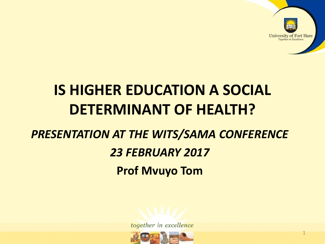

## **IS HIGHER EDUCATION A SOCIAL DETERMINANT OF HEALTH?**

#### *PRESENTATION AT THE WITS/SAMA CONFERENCE*

#### *23 FEBRUARY 2017*

**Prof Mvuyo Tom** 



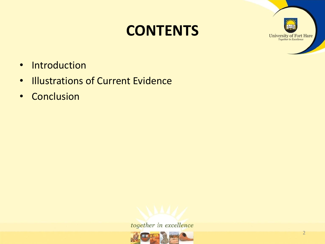### **CONTENTS**



- Introduction
- Illustrations of Current Evidence
- Conclusion



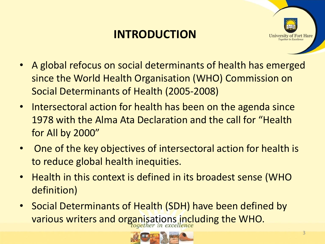### **INTRODUCTION**



- A global refocus on social determinants of health has emerged since the World Health Organisation (WHO) Commission on Social Determinants of Health (2005-2008)
- Intersectoral action for health has been on the agenda since 1978 with the Alma Ata Declaration and the call for "Health for All by 2000"
- One of the key objectives of intersectoral action for health is to reduce global health inequities.
- Health in this context is defined in its broadest sense (WHO definition)
- Social Determinants of Health (SDH) have been defined by various writers and organisations including the WHO.

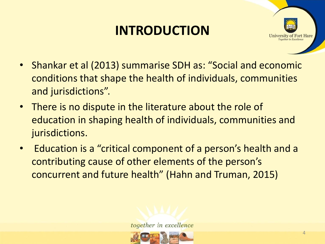### **INTRODUCTION**



- Shankar et al (2013) summarise SDH as: "Social and economic conditions that shape the health of individuals, communities and jurisdictions".
- There is no dispute in the literature about the role of education in shaping health of individuals, communities and jurisdictions.
- Education is a "critical component of a person's health and a contributing cause of other elements of the person's concurrent and future health" (Hahn and Truman, 2015)

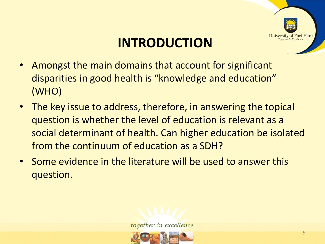

### **INTRODUCTION**

- Amongst the main domains that account for significant disparities in good health is "knowledge and education" (WHO)
- The key issue to address, therefore, in answering the topical question is whether the level of education is relevant as a social determinant of health. Can higher education be isolated from the continuum of education as a SDH?
- Some evidence in the literature will be used to answer this question.



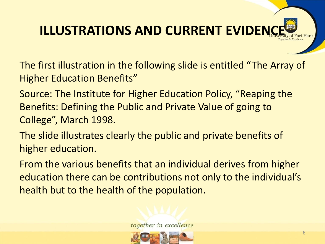The first illustration in the following slide is entitled "The Array of Higher Education Benefits"

Source: The Institute for Higher Education Policy, "Reaping the Benefits: Defining the Public and Private Value of going to College", March 1998.

The slide illustrates clearly the public and private benefits of higher education.

From the various benefits that an individual derives from higher education there can be contributions not only to the individual's health but to the health of the population.

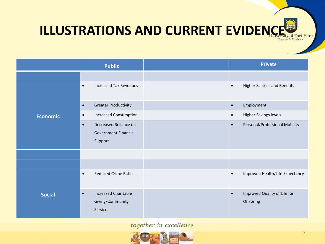|                 | <b>Public</b>                                                                | <b>Private</b>                                         |
|-----------------|------------------------------------------------------------------------------|--------------------------------------------------------|
|                 |                                                                              |                                                        |
| <b>Economic</b> | <b>Increased Tax Revenues</b><br>$\bullet$                                   | <b>Higher Salaries and Benefits</b><br>$\bullet$       |
|                 | <b>Greater Productivity</b><br>$\bullet$                                     | Employment<br>$\bullet$                                |
|                 | <b>Increased Consumption</b><br>$\bullet$                                    | <b>Higher Savings levels</b><br>$\bullet$              |
|                 | Decreased Reliance on<br>$\bullet$<br><b>Government Financial</b><br>Support | Personal/Professional Mobility<br>$\bullet$            |
|                 |                                                                              |                                                        |
|                 |                                                                              |                                                        |
| <b>Social</b>   | <b>Reduced Crime Rates</b><br>$\bullet$                                      | Improved Health/Life Expectancy<br>$\bullet$           |
|                 | <b>Increased Charitable</b><br>$\bullet$<br>Giving/Community<br>Service      | Improved Quality of Life for<br>$\bullet$<br>Offspring |

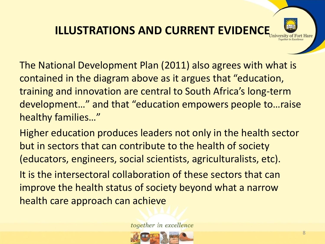

Higher education produces leaders not only in the health sector but in sectors that can contribute to the health of society (educators, engineers, social scientists, agriculturalists, etc).

It is the intersectoral collaboration of these sectors that can improve the health status of society beyond what a narrow health care approach can achieve

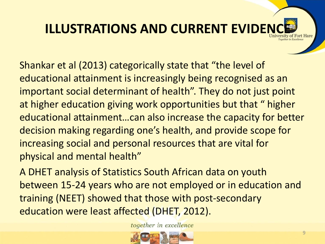Shankar et al (2013) categorically state that "the level of educational attainment is increasingly being recognised as an important social determinant of health". They do not just point at higher education giving work opportunities but that " higher educational attainment…can also increase the capacity for better decision making regarding one's health, and provide scope for increasing social and personal resources that are vital for physical and mental health"

A DHET analysis of Statistics South African data on youth between 15-24 years who are not employed or in education and training (NEET) showed that those with post-secondary education were least affected (DHET, 2012).

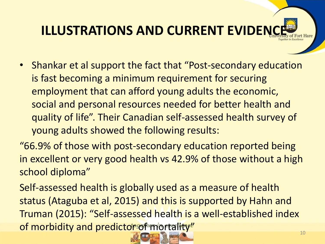- Shankar et al support the fact that "Post-secondary education is fast becoming a minimum requirement for securing employment that can afford young adults the economic, social and personal resources needed for better health and quality of life". Their Canadian self-assessed health survey of young adults showed the following results:
- "66.9% of those with post-secondary education reported being in excellent or very good health vs 42.9% of those without a high school diploma"

Self-assessed health is globally used as a measure of health status (Ataguba et al, 2015) and this is supported by Hahn and Truman (2015): "Self-assessed health is a well-established index of morbidity and predictor of mortality"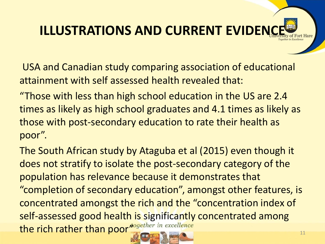USA and Canadian study comparing association of educational attainment with self assessed health revealed that:

"Those with less than high school education in the US are 2.4 times as likely as high school graduates and 4.1 times as likely as those with post-secondary education to rate their health as poor".

The South African study by Ataguba et al (2015) even though it does not stratify to isolate the post-secondary category of the population has relevance because it demonstrates that "completion of secondary education", amongst other features, is concentrated amongst the rich and the "concentration index of self-assessed good health is significantly concentrated among the rich rather than poor<sup>together in excellence</sup>

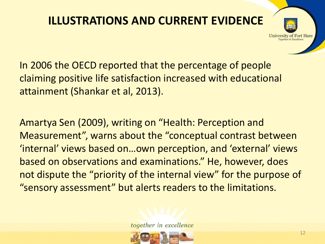

In 2006 the OECD reported that the percentage of people claiming positive life satisfaction increased with educational attainment (Shankar et al, 2013).

Amartya Sen (2009), writing on "Health: Perception and Measurement", warns about the "conceptual contrast between 'internal' views based on…own perception, and 'external' views based on observations and examinations." He, however, does not dispute the "priority of the internal view" for the purpose of "sensory assessment" but alerts readers to the limitations.

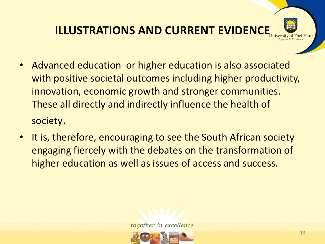- Advanced education or higher education is also associated with positive societal outcomes including higher productivity, innovation, economic growth and stronger communities. These all directly and indirectly influence the health of society.
- It is, therefore, encouraging to see the South African society engaging fiercely with the debates on the transformation of higher education as well as issues of access and success.



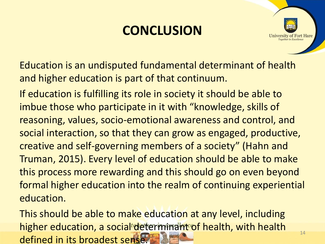### **CONCLUSION**



Education is an undisputed fundamental determinant of health and higher education is part of that continuum.

If education is fulfilling its role in society it should be able to imbue those who participate in it with "knowledge, skills of reasoning, values, socio-emotional awareness and control, and social interaction, so that they can grow as engaged, productive, creative and self-governing members of a society" (Hahn and Truman, 2015). Every level of education should be able to make this process more rewarding and this should go on even beyond formal higher education into the realm of continuing experiential education.

This should be able to make education at any level, including higher education, a social determinant of health, with health defined in its broadest sense.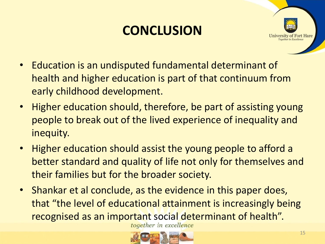### **CONCLUSION**



- Education is an undisputed fundamental determinant of health and higher education is part of that continuum from early childhood development.
- Higher education should, therefore, be part of assisting young people to break out of the lived experience of inequality and inequity.
- Higher education should assist the young people to afford a better standard and quality of life not only for themselves and their families but for the broader society.
- Shankar et al conclude, as the evidence in this paper does, that "the level of educational attainment is increasingly being recognised as an important social determinant of health".

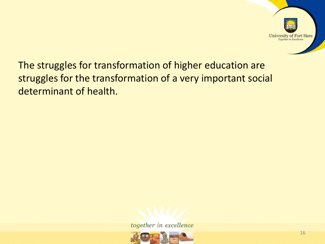

The struggles for transformation of higher education are struggles for the transformation of a very important social determinant of health.